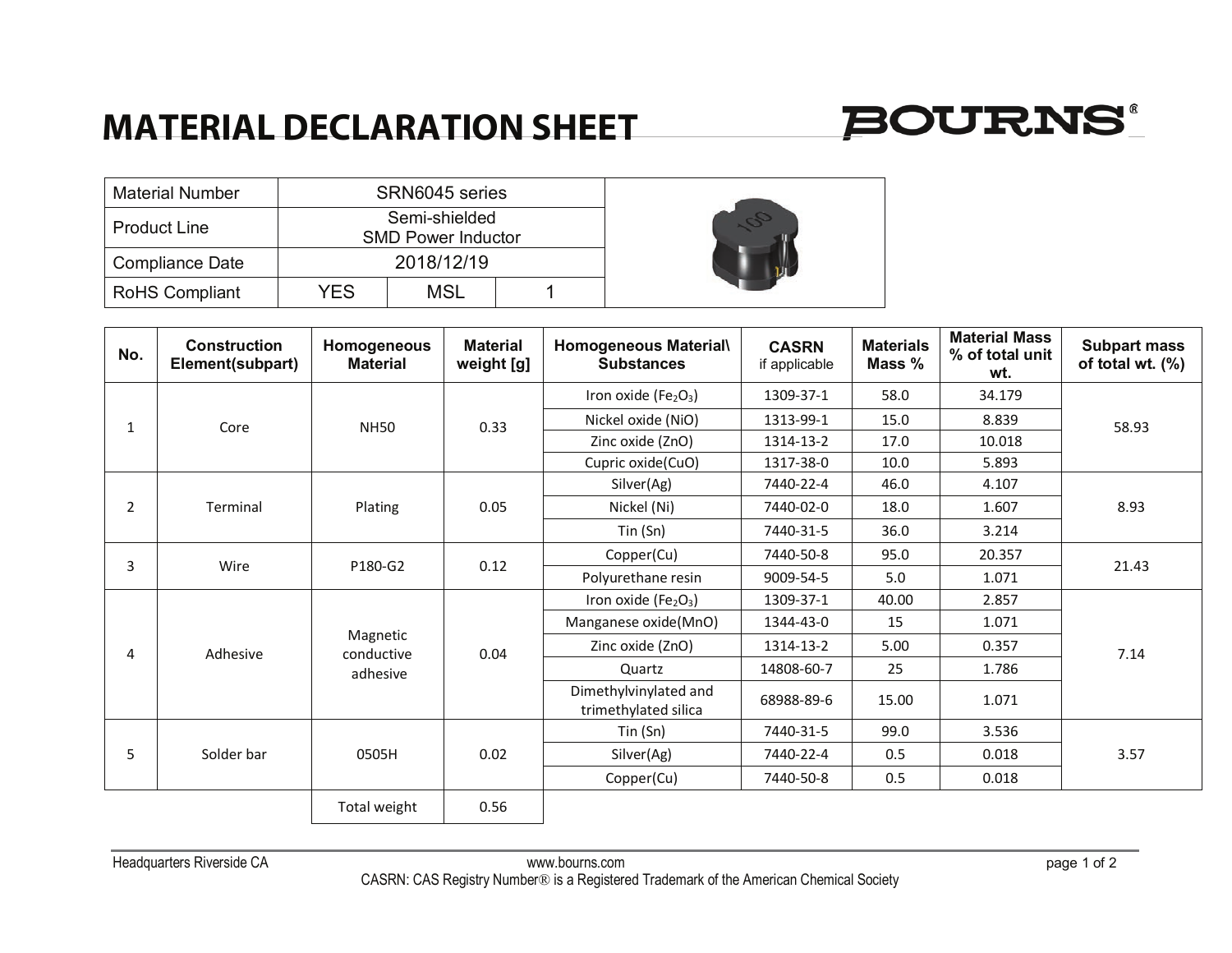## **MATERIAL DECLARATION SHEET**



| <b>Material Number</b> | SRN6045 series                             |     |  |  |  |  |
|------------------------|--------------------------------------------|-----|--|--|--|--|
| <b>Product Line</b>    | Semi-shielded<br><b>SMD Power Inductor</b> |     |  |  |  |  |
| <b>Compliance Date</b> | 2018/12/19                                 |     |  |  |  |  |
| <b>RoHS Compliant</b>  | YES.                                       | MSL |  |  |  |  |



| No.            | <b>Construction</b><br>Element(subpart) | Homogeneous<br><b>Material</b> | <b>Material</b><br>weight [g]  | <b>Homogeneous Material\</b><br><b>Substances</b> | <b>CASRN</b><br>if applicable | <b>Materials</b><br>Mass % | <b>Material Mass</b><br>% of total unit<br>wt. | <b>Subpart mass</b><br>of total wt. (%) |
|----------------|-----------------------------------------|--------------------------------|--------------------------------|---------------------------------------------------|-------------------------------|----------------------------|------------------------------------------------|-----------------------------------------|
|                |                                         | <b>NH50</b>                    | 0.33                           | Iron oxide ( $Fe2O3$ )                            | 1309-37-1                     | 58.0                       | 34.179                                         | 58.93                                   |
|                | Core                                    |                                |                                | Nickel oxide (NiO)                                | 1313-99-1                     | 15.0                       | 8.839                                          |                                         |
|                |                                         |                                |                                | Zinc oxide (ZnO)                                  | 1314-13-2                     | 17.0                       | 10.018                                         |                                         |
|                |                                         |                                |                                | Cupric oxide(CuO)                                 | 1317-38-0                     | 10.0                       | 5.893                                          |                                         |
|                |                                         | Plating                        | 0.05                           | Silver(Ag)                                        | 7440-22-4                     | 46.0                       | 4.107                                          | 8.93                                    |
| $\overline{2}$ | Terminal                                |                                |                                | Nickel (Ni)                                       | 7440-02-0                     | 18.0                       | 1.607                                          |                                         |
|                |                                         |                                |                                | Tin(Sn)                                           | 7440-31-5                     | 36.0                       | 3.214                                          |                                         |
|                |                                         |                                | 0.12                           | Copper(Cu)                                        | 7440-50-8                     | 95.0                       | 20.357                                         |                                         |
| 3              | Wire                                    | P180-G2                        |                                | Polyurethane resin                                | 9009-54-5                     | 5.0                        | 1.071                                          | 21.43                                   |
|                | Adhesive                                | Magnetic                       | 0.04<br>conductive<br>adhesive | Iron oxide ( $Fe2O3$ )                            | 1309-37-1                     | 40.00                      | 2.857                                          |                                         |
|                |                                         |                                |                                | Manganese oxide(MnO)                              | 1344-43-0                     | 15                         | 1.071                                          |                                         |
|                |                                         |                                |                                | Zinc oxide (ZnO)                                  | 1314-13-2                     | 5.00                       | 0.357                                          | 7.14                                    |
|                |                                         |                                |                                | Quartz                                            | 14808-60-7                    | 25                         | 1.786                                          |                                         |
|                |                                         |                                |                                | Dimethylvinylated and<br>trimethylated silica     | 68988-89-6                    | 15.00                      | 1.071                                          |                                         |
|                |                                         | 0505H                          | 0.02                           | $T$ in $(Sn)$                                     | 7440-31-5                     | 99.0                       | 3.536                                          | 3.57                                    |
|                | Solder bar                              |                                |                                | Silver(Ag)                                        | 7440-22-4                     | 0.5                        | 0.018                                          |                                         |
|                |                                         |                                |                                | Copper(Cu)                                        | 7440-50-8                     | 0.5                        | 0.018                                          |                                         |
|                |                                         | Total weight                   | 0.56                           |                                                   |                               |                            |                                                |                                         |